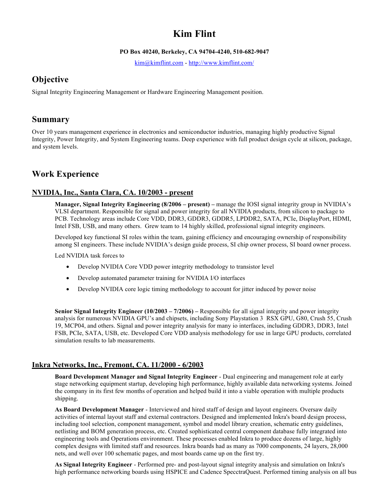# **Kim Flint**

#### **PO Box 40240, Berkeley, CA 94704-4240, 510-682-9047**

kim@kimflint.com - http://www.kimflint.com/

# **Objective**

Signal Integrity Engineering Management or Hardware Engineering Management position.

## **Summary**

Over 10 years management experience in electronics and semiconductor industries, managing highly productive Signal Integrity, Power Integrity, and System Engineering teams. Deep experience with full product design cycle at silicon, package, and system levels.

## **Work Experience**

## **NVIDIA, Inc., Santa Clara, CA. 10/2003 - present**

**Manager, Signal Integrity Engineering (8/2006 – present) –** manage the IOSI signal integrity group in NVIDIA's VLSI department. Responsible for signal and power integrity for all NVIDIA products, from silicon to package to PCB. Technology areas include Core VDD, DDR3, GDDR3, GDDR5, LPDDR2, SATA, PCIe, DisplayPort, HDMI, Intel FSB, USB, and many others. Grew team to 14 highly skilled, professional signal integrity engineers.

Developed key functional SI roles within the team, gaining efficiency and encouraging ownership of responsibility among SI engineers. These include NVIDIA's design guide process, SI chip owner process, SI board owner process.

Led NVIDIA task forces to

- Develop NVIDIA Core VDD power integrity methodology to transistor level
- Develop automated parameter training for NVIDIA I/O interfaces
- Develop NVIDIA core logic timing methodology to account for jitter induced by power noise

**Senior Signal Integrity Engineer (10/2003 – 7/2006) –** Responsible for all signal integrity and power integrity analysis for numerous NVIDIA GPU's and chipsets, including Sony Playstation 3 RSX GPU, G80, Crush 55, Crush 19, MCP04, and others. Signal and power integrity analysis for many io interfaces, including GDDR3, DDR3, Intel FSB, PCIe, SATA, USB, etc. Developed Core VDD analysis methodology for use in large GPU products, correlated simulation results to lab measurements.

### **Inkra Networks, Inc., Fremont, CA. 11/2000 - 6/2003**

**Board Development Manager and Signal Integrity Engineer** - Dual engineering and management role at early stage networking equipment startup, developing high performance, highly available data networking systems. Joined the company in its first few months of operation and helped build it into a viable operation with multiple products shipping.

**As Board Development Manager** - Interviewed and hired staff of design and layout engineers. Oversaw daily activities of internal layout staff and external contractors. Designed and implemented Inkra's board design process, including tool selection, component management, symbol and model library creation, schematic entry guidelines, netlisting and BOM generation process, etc. Created sophisticated central component database fully integrated into engineering tools and Operations environment. These processes enabled Inkra to produce dozens of large, highly complex designs with limited staff and resources. Inkra boards had as many as 7000 components, 24 layers, 28,000 nets, and well over 100 schematic pages, and most boards came up on the first try.

**As Signal Integrity Engineer** - Performed pre- and post-layout signal integrity analysis and simulation on Inkra's high performance networking boards using HSPICE and Cadence SpecctraQuest. Performed timing analysis on all bus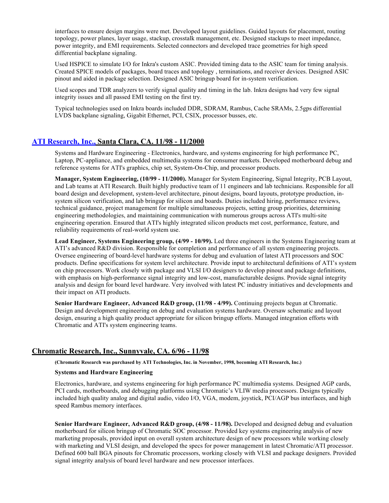interfaces to ensure design margins were met. Developed layout guidelines. Guided layouts for placement, routing topology, power planes, layer usage, stackup, crosstalk management, etc. Designed stackups to meet impedance, power integrity, and EMI requirements. Selected connectors and developed trace geometries for high speed differential backplane signaling.

Used HSPICE to simulate I/O for Inkra's custom ASIC. Provided timing data to the ASIC team for timing analysis. Created SPICE models of packages, board traces and topology , terminations, and receiver devices. Designed ASIC pinout and aided in package selection. Designed ASIC bringup board for in-system verification.

Used scopes and TDR analyzers to verify signal quality and timing in the lab. Inkra designs had very few signal integrity issues and all passed EMI testing on the first try.

Typical technologies used on Inkra boards included DDR, SDRAM, Rambus, Cache SRAMs, 2.5gps differential LVDS backplane signaling, Gigabit Ethernet, PCI, CSIX, processor busses, etc.

### **ATI Research, Inc., Santa Clara, CA. 11/98 - 11/2000**

Systems and Hardware Engineering - Electronics, hardware, and systems engineering for high performance PC, Laptop, PC-appliance, and embedded multimedia systems for consumer markets. Developed motherboard debug and reference systems for ATI's graphics, chip set, System-On-Chip, and processor products.

**Manager, System Engineering, (10/99 - 11/2000).** Manager for System Engineering, Signal Integrity, PCB Layout, and Lab teams at ATI Research. Built highly productive team of 11 engineers and lab technicians. Responsible for all board design and development, system-level architecture, pinout designs, board layouts, prototype production, insystem silicon verification, and lab bringup for silicon and boards. Duties included hiring, performance reviews, technical guidance, project management for multiple simultaneous projects, setting group priorities, determining engineering methodologies, and maintaining communication with numerous groups across ATI's multi-site engineering operation. Ensured that ATI's highly integrated silicon products met cost, performance, feature, and reliability requirements of real-world system use.

**Lead Engineer, Systems Engineering group, (4/99 - 10/99).** Led three engineers in the Systems Engineering team at ATI's advanced R&D division. Responsible for completion and performance of all system engineering projects. Oversee engineering of board-level hardware systems for debug and evaluation of latest ATI processors and SOC products. Define specifications for system level architecture. Provide input to architectural definitions of ATI's system on chip processors. Work closely with package and VLSI I/O designers to develop pinout and package definitions, with emphasis on high-performance signal integrity and low-cost, manufacturable designs. Provide signal integrity analysis and design for board level hardware. Very involved with latest PC industry initiatives and developments and their impact on ATI products.

**Senior Hardware Engineer, Advanced R&D group, (11/98 - 4/99).** Continuing projects begun at Chromatic. Design and development engineering on debug and evaluation systems hardware. Oversaw schematic and layout design, ensuring a high quality product appropriate for silicon bringup efforts. Managed integration efforts with Chromatic and ATI's system engineering teams.

#### **Chromatic Research, Inc., Sunnyvale, CA. 6/96 - 11/98**

**(Chromatic Research was purchased by ATI Technologies, Inc. in November, 1998, becoming ATI Research, Inc.)**

#### **Systems and Hardware Engineering**

Electronics, hardware, and systems engineering for high performance PC multimedia systems. Designed AGP cards, PCI cards, motherboards, and debugging platforms using Chromatic's VLIW media processors. Designs typically included high quality analog and digital audio, video I/O, VGA, modem, joystick, PCI/AGP bus interfaces, and high speed Rambus memory interfaces.

**Senior Hardware Engineer, Advanced R&D group, (4/98 - 11/98).** Developed and designed debug and evaluation motherboard for silicon bringup of Chromatic SOC processor. Provided key systems engineering analysis of new marketing proposals, provided input on overall system architecture design of new processors while working closely with marketing and VLSI design, and developed the specs for power management in latest Chromatic/ATI processor. Defined 600 ball BGA pinouts for Chromatic processors, working closely with VLSI and package designers. Provided signal integrity analysis of board level hardware and new processor interfaces.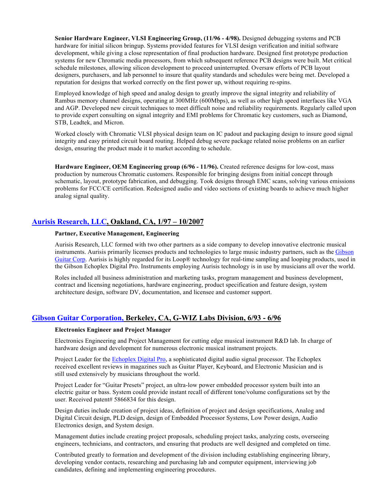**Senior Hardware Engineer, VLSI Engineering Group, (11/96 - 4/98).** Designed debugging systems and PCB hardware for initial silicon bringup. Systems provided features for VLSI design verification and initial software development, while giving a close representation of final production hardware. Designed first prototype production systems for new Chromatic media processors, from which subsequent reference PCB designs were built. Met critical schedule milestones, allowing silicon development to proceed uninterrupted. Oversaw efforts of PCB layout designers, purchasers, and lab personnel to insure that quality standards and schedules were being met. Developed a reputation for designs that worked correctly on the first power up, without requiring re-spins.

Employed knowledge of high speed and analog design to greatly improve the signal integrity and reliability of Rambus memory channel designs, operating at 300MHz (600Mbps), as well as other high speed interfaces like VGA and AGP. Developed new circuit techniques to meet difficult noise and reliability requirements. Regularly called upon to provide expert consulting on signal integrity and EMI problems for Chromatic key customers, such as Diamond, STB, Leadtek, and Micron.

Worked closely with Chromatic VLSI physical design team on IC padout and packaging design to insure good signal integrity and easy printed circuit board routing. Helped debug severe package related noise problems on an earlier design, ensuring the product made it to market according to schedule.

**Hardware Engineer, OEM Engineering group (6/96 - 11/96).** Created reference designs for low-cost, mass production by numerous Chromatic customers. Responsible for bringing designs from initial concept through schematic, layout, prototype fabrication, and debugging. Took designs through EMC scans, solving various emissions problems for FCC/CE certification. Redesigned audio and video sections of existing boards to achieve much higher analog signal quality.

### **Aurisis Research, LLC, Oakland, CA, 1/97 – 10/2007**

#### **Partner, Executive Management, Engineering**

Aurisis Research, LLC formed with two other partners as a side company to develop innovative electronic musical instruments. Aurisis primarily licenses products and technologies to large music industry partners, such as the Gibson Guitar Corp. Aurisis is highly regarded for its Loop® technology for real-time sampling and looping products, used in the Gibson Echoplex Digital Pro. Instruments employing Aurisis technology is in use by musicians all over the world.

Roles included all business administration and marketing tasks, program management and business development, contract and licensing negotiations, hardware engineering, product specification and feature design, system architecture design, software DV, documentation, and licensee and customer support.

### **Gibson Guitar Corporation, Berkeley, CA, G-WIZ Labs Division, 6/93 - 6/96**

#### **Electronics Engineer and Project Manager**

Electronics Engineering and Project Management for cutting edge musical instrument R&D lab. In charge of hardware design and development for numerous electronic musical instrument projects.

Project Leader for the Echoplex Digital Pro, a sophisticated digital audio signal processor. The Echoplex received excellent reviews in magazines such as Guitar Player, Keyboard, and Electronic Musician and is still used extensively by musicians throughout the world.

Project Leader for "Guitar Presets" project, an ultra-low power embedded processor system built into an electric guitar or bass. System could provide instant recall of different tone/volume configurations set by the user. Received patent# 5866834 for this design.

Design duties include creation of project ideas, definition of project and design specifications, Analog and Digital Circuit design, PLD design, design of Embedded Processor Systems, Low Power design, Audio Electronics design, and System design.

Management duties include creating project proposals, scheduling project tasks, analyzing costs, overseeing engineers, technicians, and contractors, and ensuring that products are well designed and completed on time.

Contributed greatly to formation and development of the division including establishing engineering library, developing vendor contacts, researching and purchasing lab and computer equipment, interviewing job candidates, defining and implementing engineering procedures.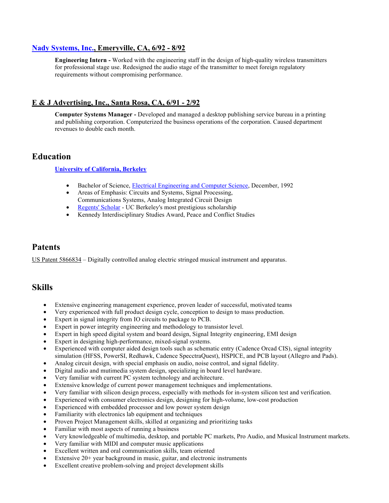### **Nady Systems, Inc., Emeryville, CA, 6/92 - 8/92**

**Engineering Intern -** Worked with the engineering staff in the design of high-quality wireless transmitters for professional stage use. Redesigned the audio stage of the transmitter to meet foreign regulatory requirements without compromising performance.

## **E & J Advertising, Inc., Santa Rosa, CA, 6/91 - 2/92**

**Computer Systems Manager -** Developed and managed a desktop publishing service bureau in a printing and publishing corporation. Computerized the business operations of the corporation. Caused department revenues to double each month.

## **Education**

**University of California, Berkeley**

- Bachelor of Science, **Electrical Engineering and Computer Science**, December, 1992
- Areas of Emphasis: Circuits and Systems, Signal Processing, Communications Systems, Analog Integrated Circuit Design
- Regents' Scholar UC Berkeley's most prestigious scholarship
- Kennedy Interdisciplinary Studies Award, Peace and Conflict Studies

## **Patents**

US Patent 5866834 – Digitally controlled analog electric stringed musical instrument and apparatus.

## **Skills**

- Extensive engineering management experience, proven leader of successful, motivated teams
- Very experienced with full product design cycle, conception to design to mass production.
- Expert in signal integrity from IO circuits to package to PCB.
- Expert in power integrity engineering and methodology to transistor level.
- Expert in high speed digital system and board design, Signal Integrity engineering, EMI design
- Expert in designing high-performance, mixed-signal systems.
- Experienced with computer aided design tools such as schematic entry (Cadence Orcad CIS), signal integrity simulation (HFSS, PowerSI, Redhawk, Cadence SpecctraQuest), HSPICE, and PCB layout (Allegro and Pads).
- Analog circuit design, with special emphasis on audio, noise control, and signal fidelity.
- Digital audio and mutimedia system design, specializing in board level hardware.
- Very familiar with current PC system technology and architecture.
- Extensive knowledge of current power management techniques and implementations.
- Very familiar with silicon design process, especially with methods for in-system silicon test and verification.
- Experienced with consumer electronics design, designing for high-volume, low-cost production
- Experienced with embedded processor and low power system design
- Familiarity with electronics lab equipment and techniques
- Proven Project Management skills, skilled at organizing and prioritizing tasks
- Familiar with most aspects of running a business
- Very knowledgeable of multimedia, desktop, and portable PC markets, Pro Audio, and Musical Instrument markets.
- Very familiar with MIDI and computer music applications
- Excellent written and oral communication skills, team oriented
- Extensive 20+ year background in music, guitar, and electronic instruments
- Excellent creative problem-solving and project development skills